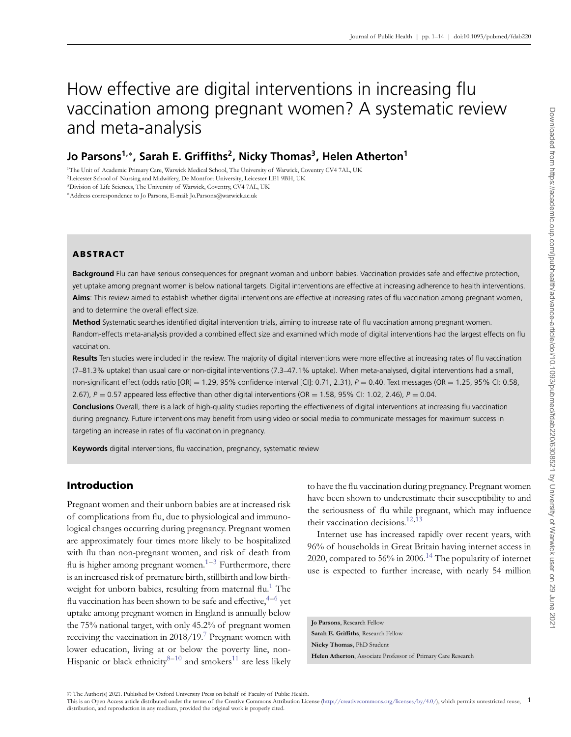# How effective are digital interventions in increasing flu vaccination among pregnant women? A systematic review and meta-analysis

# **Jo Parsons<sup>1,∗</sup>, Sarah E. Griffiths<sup>2</sup>, Nicky Thomas<sup>3</sup>, Helen Atherton<sup>1</sup>**

1The Unit of Academic Primary Care, Warwick Medical School, The University of Warwick, Coventry CV4 7AL, UK

2Leicester School of Nursing and Midwifery, De Montfort University, Leicester LE1 9BH, UK

3Division of Life Sciences, The University of Warwick, Coventry, CV4 7AL, UK

∗Address correspondence to Jo Parsons, E-mail: Jo.Parsons@warwick.ac.uk

# **ABSTRACT**

**Background** Flu can have serious consequences for pregnant woman and unborn babies. Vaccination provides safe and effective protection, yet uptake among pregnant women is below national targets. Digital interventions are effective at increasing adherence to health interventions. **Aims**: This review aimed to establish whether digital interventions are effective at increasing rates of flu vaccination among pregnant women, and to determine the overall effect size.

**Method** Systematic searches identified digital intervention trials, aiming to increase rate of flu vaccination among pregnant women. Random-effects meta-analysis provided a combined effect size and examined which mode of digital interventions had the largest effects on flu vaccination.

**Results** Ten studies were included in the review. The majority of digital interventions were more effective at increasing rates of flu vaccination (7–81.3% uptake) than usual care or non-digital interventions (7.3–47.1% uptake). When meta-analysed, digital interventions had a small, non-significant effect (odds ratio [OR] = 1.29, 95% confidence interval [CI]: 0.71, 2.31), *P* = 0.40. Text messages (OR = 1.25, 95% CI: 0.58, 2.67),  $P = 0.57$  appeared less effective than other digital interventions (OR = 1.58, 95% CI: 1.02, 2.46),  $P = 0.04$ .

**Conclusions** Overall, there is a lack of high-quality studies reporting the effectiveness of digital interventions at increasing flu vaccination during pregnancy. Future interventions may benefit from using video or social media to communicate messages for maximum success in targeting an increase in rates of flu vaccination in pregnancy.

**Keywords** digital interventions, flu vaccination, pregnancy, systematic review

# **Introduction**

Pregnant women and their unborn babies are at increased risk of complications from flu, due to physiological and immunological changes occurring during pregnancy. Pregnant women are approximately four times more likely to be hospitalized with flu than non-pregnant women, and risk of death from flu is higher among pregnant women.<sup>1–[3](#page-12-1)</sup> Furthermore, there is an increased risk of premature birth, stillbirth and low birth-weight for unborn babies, resulting from maternal flu.<sup>[1](#page-12-0)</sup> The flu vaccination has been shown to be safe and effective,  $4-6$  $4-6$  yet uptake among pregnant women in England is annually below the 75% national target, with only 45.2% of pregnant women receiving the vaccination in  $2018/19$ .<sup>[7](#page-12-4)</sup> Pregnant women with lower education, living at or below the poverty line, non-Hispanic or black ethnicity<sup>[8–](#page-12-5)[10](#page-12-6)</sup> and smokers<sup>[11](#page-12-7)</sup> are less likely

to have the flu vaccination during pregnancy. Pregnant women have been shown to underestimate their susceptibility to and the seriousness of flu while pregnant, which may influence their vaccination decisions.<sup>12,[13](#page-12-9)</sup>

Internet use has increased rapidly over recent years, with 96% of households in Great Britain having internet access in 2020, compared to 56% in 2006.<sup>[14](#page-12-10)</sup> The popularity of internet use is expected to further increase, with nearly 54 million

**Jo Parsons**, Research Fellow **Sarah E. Griffiths**, Research Fellow **Nicky Thomas**, PhD Student **Helen Atherton**, Associate Professor of Primary Care Research

© The Author(s) 2021. Published by Oxford University Press on behalf of Faculty of Public Health.<br>This is an Open Access article distributed under the terms of the Creative Commons Attribution License (http://creativecommo distribution, and reproduction in any medium, provided the original work is properly cited.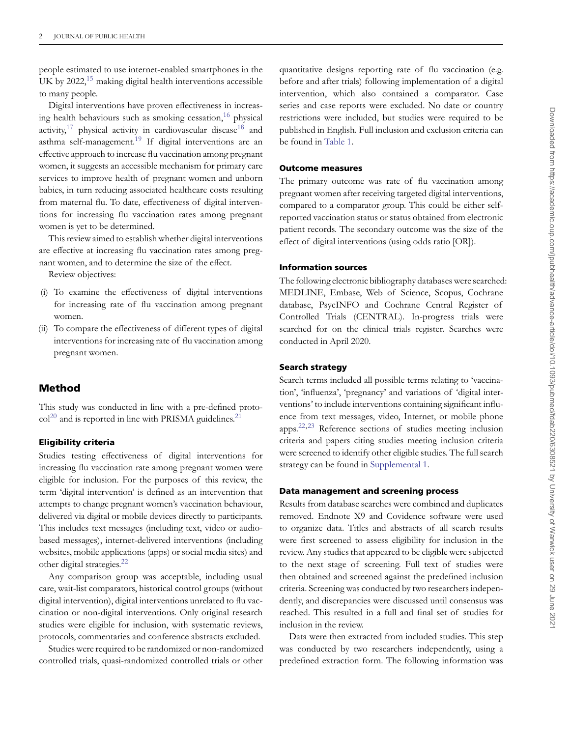people estimated to use internet-enabled smartphones in the UK by 2022,<sup>15</sup> making digital health interventions accessible to many people.

Digital interventions have proven effectiveness in increasing health behaviours such as smoking cessation, $16$  physical activity,<sup>17</sup> physical activity in cardiovascular disease<sup>[18](#page-12-14)</sup> and asthma self-management.<sup>[19](#page-12-15)</sup> If digital interventions are an effective approach to increase flu vaccination among pregnant women, it suggests an accessible mechanism for primary care services to improve health of pregnant women and unborn babies, in turn reducing associated healthcare costs resulting from maternal flu. To date, effectiveness of digital interventions for increasing flu vaccination rates among pregnant women is yet to be determined.

This review aimed to establish whether digital interventions are effective at increasing flu vaccination rates among pregnant women, and to determine the size of the effect.

Review objectives:

- (i) To examine the effectiveness of digital interventions for increasing rate of flu vaccination among pregnant women.
- (ii) To compare the effectiveness of different types of digital interventions for increasing rate of flu vaccination among pregnant women.

## **Method**

This study was conducted in line with a pre-defined proto- $\text{col}^{20}$  $\text{col}^{20}$  $\text{col}^{20}$  and is reported in line with PRISMA guidelines.<sup>[21](#page-12-17)</sup>

#### **Eligibility criteria**

Studies testing effectiveness of digital interventions for increasing flu vaccination rate among pregnant women were eligible for inclusion. For the purposes of this review, the term 'digital intervention' is defined as an intervention that attempts to change pregnant women's vaccination behaviour, delivered via digital or mobile devices directly to participants. This includes text messages (including text, video or audiobased messages), internet-delivered interventions (including websites, mobile applications (apps) or social media sites) and other digital strategies.<sup>22</sup>

Any comparison group was acceptable, including usual care, wait-list comparators, historical control groups (without digital intervention), digital interventions unrelated to flu vaccination or non-digital interventions. Only original research studies were eligible for inclusion, with systematic reviews, protocols, commentaries and conference abstracts excluded.

Studies were required to be randomized or non-randomized controlled trials, quasi-randomized controlled trials or other

quantitative designs reporting rate of flu vaccination (e.g. before and after trials) following implementation of a digital intervention, which also contained a comparator. Case series and case reports were excluded. No date or country restrictions were included, but studies were required to be published in English. Full inclusion and exclusion criteria can be found in [Table 1.](#page-2-0)

#### **Outcome measures**

The primary outcome was rate of flu vaccination among pregnant women after receiving targeted digital interventions, compared to a comparator group. This could be either selfreported vaccination status or status obtained from electronic patient records. The secondary outcome was the size of the effect of digital interventions (using odds ratio [OR]).

#### **Information sources**

The following electronic bibliography databases were searched: MEDLINE, Embase, Web of Science, Scopus, Cochrane database, PsycINFO and Cochrane Central Register of Controlled Trials (CENTRAL). In-progress trials were searched for on the clinical trials register. Searches were conducted in April 2020.

#### **Search strategy**

Search terms included all possible terms relating to 'vaccination', 'influenza', 'pregnancy' and variations of 'digital interventions' to include interventions containing significant influence from text messages, video, Internet, or mobile phone apps[.22,](#page-12-18)[23](#page-12-19) Reference sections of studies meeting inclusion criteria and papers citing studies meeting inclusion criteria were screened to identify other eligible studies. The full search strategy can be found in [Supplemental 1.](https://academic.oup.com/jpubhealth/article-lookup/doi/10.1093/pubmed/fdab220#supplementary-data)

#### **Data management and screening process**

Results from database searches were combined and duplicates removed. Endnote X9 and Covidence software were used to organize data. Titles and abstracts of all search results were first screened to assess eligibility for inclusion in the review. Any studies that appeared to be eligible were subjected to the next stage of screening. Full text of studies were then obtained and screened against the predefined inclusion criteria. Screening was conducted by two researchers independently, and discrepancies were discussed until consensus was reached. This resulted in a full and final set of studies for inclusion in the review.

Data were then extracted from included studies. This step was conducted by two researchers independently, using a predefined extraction form. The following information was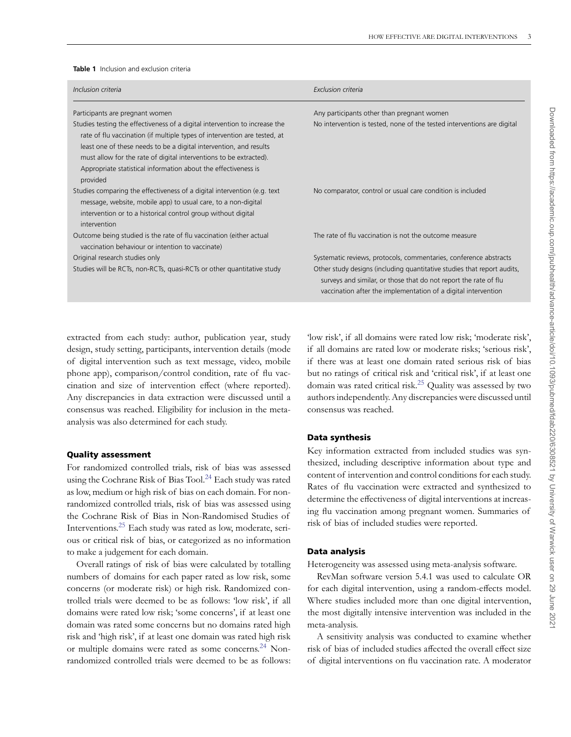#### <span id="page-2-0"></span>**Table 1** Inclusion and exclusion criteria

| Inclusion criteria                                                                                                                                                                                                                                                                                                                                                                 | Exclusion criteria                                                                                                                                                                                            |
|------------------------------------------------------------------------------------------------------------------------------------------------------------------------------------------------------------------------------------------------------------------------------------------------------------------------------------------------------------------------------------|---------------------------------------------------------------------------------------------------------------------------------------------------------------------------------------------------------------|
| Participants are pregnant women                                                                                                                                                                                                                                                                                                                                                    | Any participants other than pregnant women                                                                                                                                                                    |
| Studies testing the effectiveness of a digital intervention to increase the<br>rate of flu vaccination (if multiple types of intervention are tested, at<br>least one of these needs to be a digital intervention, and results<br>must allow for the rate of digital interventions to be extracted).<br>Appropriate statistical information about the effectiveness is<br>provided | No intervention is tested, none of the tested interventions are digital                                                                                                                                       |
| Studies comparing the effectiveness of a digital intervention (e.g. text<br>message, website, mobile app) to usual care, to a non-digital<br>intervention or to a historical control group without digital<br>intervention                                                                                                                                                         | No comparator, control or usual care condition is included                                                                                                                                                    |
| Outcome being studied is the rate of flu vaccination (either actual<br>vaccination behaviour or intention to vaccinate)                                                                                                                                                                                                                                                            | The rate of flu vaccination is not the outcome measure                                                                                                                                                        |
| Original research studies only                                                                                                                                                                                                                                                                                                                                                     | Systematic reviews, protocols, commentaries, conference abstracts                                                                                                                                             |
| Studies will be RCTs, non-RCTs, quasi-RCTs or other quantitative study                                                                                                                                                                                                                                                                                                             | Other study designs (including quantitative studies that report audits,<br>surveys and similar, or those that do not report the rate of flu<br>vaccination after the implementation of a digital intervention |

extracted from each study: author, publication year, study design, study setting, participants, intervention details (mode of digital intervention such as text message, video, mobile phone app), comparison/control condition, rate of flu vaccination and size of intervention effect (where reported). Any discrepancies in data extraction were discussed until a consensus was reached. Eligibility for inclusion in the metaanalysis was also determined for each study.

#### **Quality assessment**

For randomized controlled trials, risk of bias was assessed using the Cochrane Risk of Bias Tool.<sup>24</sup> Each study was rated as low, medium or high risk of bias on each domain. For nonrandomized controlled trials, risk of bias was assessed using the Cochrane Risk of Bias in Non-Randomised Studies of Interventions.[25](#page-12-21) Each study was rated as low, moderate, serious or critical risk of bias, or categorized as no information to make a judgement for each domain.

Overall ratings of risk of bias were calculated by totalling numbers of domains for each paper rated as low risk, some concerns (or moderate risk) or high risk. Randomized controlled trials were deemed to be as follows: 'low risk', if all domains were rated low risk; 'some concerns', if at least one domain was rated some concerns but no domains rated high risk and 'high risk', if at least one domain was rated high risk or multiple domains were rated as some concerns.[24](#page-12-20) Nonrandomized controlled trials were deemed to be as follows:

'low risk', if all domains were rated low risk; 'moderate risk', if all domains are rated low or moderate risks; 'serious risk', if there was at least one domain rated serious risk of bias but no ratings of critical risk and 'critical risk', if at least one domain was rated critical risk.<sup>25</sup> Quality was assessed by two authors independently. Any discrepancies were discussed until consensus was reached.

#### **Data synthesis**

Key information extracted from included studies was synthesized, including descriptive information about type and content of intervention and control conditions for each study. Rates of flu vaccination were extracted and synthesized to determine the effectiveness of digital interventions at increasing flu vaccination among pregnant women. Summaries of risk of bias of included studies were reported.

#### **Data analysis**

Heterogeneity was assessed using meta-analysis software.

RevMan software version 5.4.1 was used to calculate OR for each digital intervention, using a random-effects model. Where studies included more than one digital intervention, the most digitally intensive intervention was included in the meta-analysis.

A sensitivity analysis was conducted to examine whether risk of bias of included studies affected the overall effect size of digital interventions on flu vaccination rate. A moderator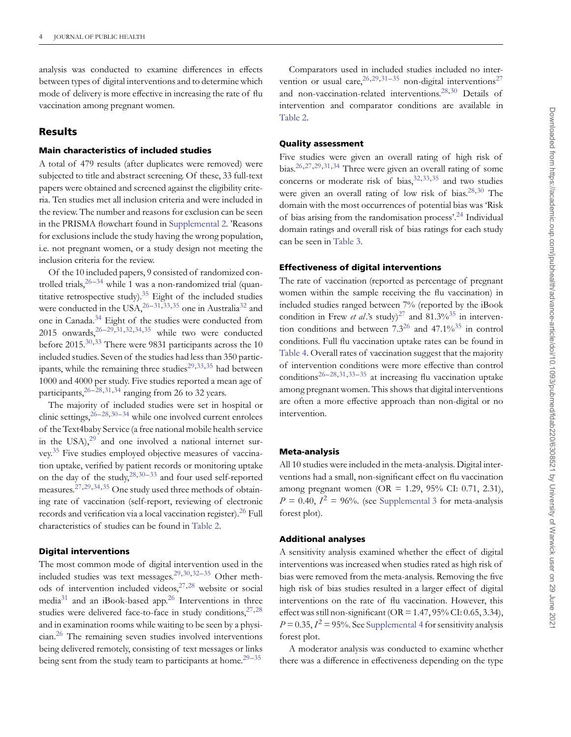analysis was conducted to examine differences in effects between types of digital interventions and to determine which mode of delivery is more effective in increasing the rate of flu vaccination among pregnant women.

### **Results**

#### **Main characteristics of included studies**

A total of 479 results (after duplicates were removed) were subjected to title and abstract screening. Of these, 33 full-text papers were obtained and screened against the eligibility criteria. Ten studies met all inclusion criteria and were included in the review. The number and reasons for exclusion can be seen in the PRISMA flowchart found in [Supplemental 2.](https://academic.oup.com/jpubhealth/article-lookup/doi/10.1093/pubmed/fdab220#supplementary-data) 'Reasons for exclusions include the study having the wrong population, i.e. not pregnant women, or a study design not meeting the inclusion criteria for the review.

Of the 10 included papers, 9 consisted of randomized controlled trials,  $26-34$  $26-34$  while 1 was a non-randomized trial (quantitative retrospective study).<sup>35</sup> Eight of the included studies were conducted in the USA,  $^{26-31,33,35}$  $^{26-31,33,35}$  $^{26-31,33,35}$  $^{26-31,33,35}$  $^{26-31,33,35}$  one in Australia<sup>32</sup> and one in Canada[.34](#page-13-0) Eight of the studies were conducted from 2015 onwards,  $26-29,31,32,34,35$  $26-29,31,32,34,35$  $26-29,31,32,34,35$  $26-29,31,32,34,35$  $26-29,31,32,34,35$  $26-29,31,32,34,35$  while two were conducted before 2015.<sup>30,[33](#page-13-3)</sup> There were 9831 participants across the 10 included studies. Seven of the studies had less than 350 partic-ipants, while the remaining three studies<sup>[29,](#page-13-5)[33,](#page-13-3)[35](#page-13-1)</sup> had between 1000 and 4000 per study. Five studies reported a mean age of participants,  $26-28,31,34$  $26-28,31,34$  $26-28,31,34$  $26-28,31,34$  ranging from 26 to 32 years.

The majority of included studies were set in hospital or clinic settings,  $26-28,30-34$  $26-28,30-34$  $26-28,30-34$  $26-28,30-34$  while one involved current enrolees of the Text4baby Service (a free national mobile health service in the  $USA$ , $29$  and one involved a national internet survey[.35](#page-13-1) Five studies employed objective measures of vaccination uptake, verified by patient records or monitoring uptake on the day of the study,  $28,30-33$  $28,30-33$  $28,30-33$  and four used self-reported measures[.27,](#page-12-23)[29,](#page-13-5)[34,](#page-13-0)[35](#page-13-1) One study used three methods of obtaining rate of vaccination (self-report, reviewing of electronic records and verification via a local vaccination register).<sup>[26](#page-12-22)</sup> Full characteristics of studies can be found in [Table 2.](#page-4-0)

#### **Digital interventions**

The most common mode of digital intervention used in the included studies was text messages[.29](#page-13-5)[,30](#page-13-6)[,32–](#page-13-4)[35](#page-13-1) Other methods of intervention included videos,  $27,28$  $27,28$  website or social media<sup>31</sup> and an iBook-based app.<sup>[26](#page-12-22)</sup> Interventions in three studies were delivered face-to-face in study conditions,  $27,28$  $27,28$ and in examination rooms while waiting to be seen by a physician[.26](#page-12-22) The remaining seven studies involved interventions being delivered remotely, consisting of text messages or links being sent from the study team to participants at home.<sup>29-[35](#page-13-1)</sup>

Comparators used in included studies included no intervention or usual care,  $^{26,29,31-35}$  $^{26,29,31-35}$  $^{26,29,31-35}$  $^{26,29,31-35}$  $^{26,29,31-35}$  $^{26,29,31-35}$  non-digital interventions<sup>27</sup> and non-vaccination-related interventions[.28,](#page-13-7)[30](#page-13-6) Details of intervention and comparator conditions are available in [Table 2.](#page-4-0)

#### **Quality assessment**

Five studies were given an overall rating of high risk of bias[.26,](#page-12-22)[27,](#page-12-23)[29,](#page-13-5)[31,](#page-13-2)[34](#page-13-0) Three were given an overall rating of some concerns or moderate risk of bias,  $32,33,35$  $32,33,35$  $32,33,35$  and two studies were given an overall rating of low risk of bias. $28,30$  $28,30$  The domain with the most occurrences of potential bias was 'Risk of bias arising from the randomisation process'.[24](#page-12-20) Individual domain ratings and overall risk of bias ratings for each study can be seen in [Table 3.](#page-9-0)

#### **Effectiveness of digital interventions**

The rate of vaccination (reported as percentage of pregnant women within the sample receiving the flu vaccination) in included studies ranged between 7% (reported by the iBook condition in Frew *et al*.'s study)<sup>[27](#page-12-23)</sup> and 81.3%<sup>35</sup> in intervention conditions and between  $7.3^{26}$  and  $47.1\%^{35}$  in control conditions. Full flu vaccination uptake rates can be found in [Table 4.](#page-10-0) Overall rates of vaccination suggest that the majority of intervention conditions were more effective than control conditions<sup>26-[28,](#page-13-7)[31,](#page-13-2)33-[35](#page-13-1)</sup> at increasing flu vaccination uptake among pregnant women. This shows that digital interventions are often a more effective approach than non-digital or no intervention.

#### **Meta-analysis**

All 10 studies were included in the meta-analysis. Digital interventions had a small, non-significant effect on flu vaccination among pregnant women (OR = 1.29, 95% CI: 0.71, 2.31),  $P = 0.40$ ,  $I^2 = 96\%$ . (see [Supplemental 3](https://academic.oup.com/jpubhealth/article-lookup/doi/10.1093/pubmed/fdab220#supplementary-data) for meta-analysis forest plot).

#### **Additional analyses**

A sensitivity analysis examined whether the effect of digital interventions was increased when studies rated as high risk of bias were removed from the meta-analysis. Removing the five high risk of bias studies resulted in a larger effect of digital interventions on the rate of flu vaccination. However, this effect was still non-significant ( $OR = 1.47, 95\%$  CI: 0.65, 3.34),  $P = 0.35$ ,  $I^2 = 95\%$ . See [Supplemental 4](https://academic.oup.com/jpubhealth/article-lookup/doi/10.1093/pubmed/fdab220#supplementary-data) for sensitivity analysis forest plot.

A moderator analysis was conducted to examine whether there was a difference in effectiveness depending on the type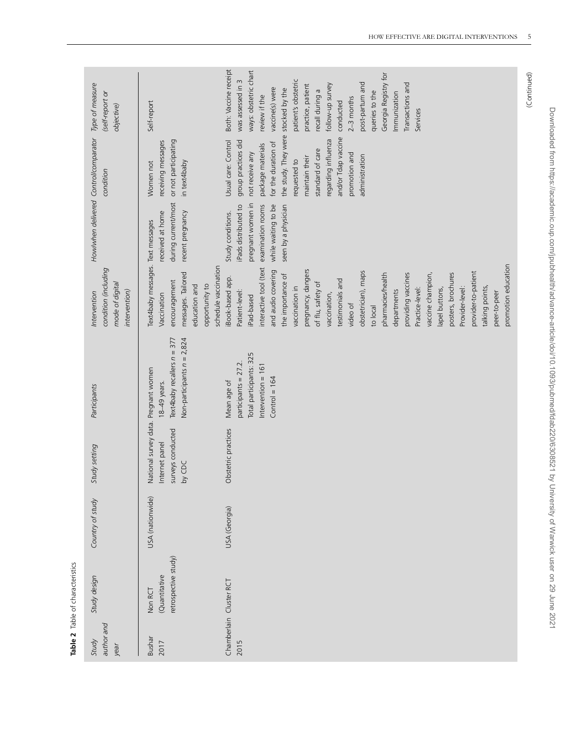| author and<br>Study<br>year | Study design                                     | Country of study | Study setting                                                                         | Participants                                                                                              | condition (including<br>mode of digital<br>intervention)<br>Intervention                                                                                                                                                                                                                                                                                                                                                                                                                                            | Howlwhen delivered Control/comparator                                                                                             | condition                                                                                                                                                                                                                                                                               | Type of measure<br>(self-report or<br>objective)                                                                                                                                                                                                                                                                                     |
|-----------------------------|--------------------------------------------------|------------------|---------------------------------------------------------------------------------------|-----------------------------------------------------------------------------------------------------------|---------------------------------------------------------------------------------------------------------------------------------------------------------------------------------------------------------------------------------------------------------------------------------------------------------------------------------------------------------------------------------------------------------------------------------------------------------------------------------------------------------------------|-----------------------------------------------------------------------------------------------------------------------------------|-----------------------------------------------------------------------------------------------------------------------------------------------------------------------------------------------------------------------------------------------------------------------------------------|--------------------------------------------------------------------------------------------------------------------------------------------------------------------------------------------------------------------------------------------------------------------------------------------------------------------------------------|
| <b>Bushar</b><br>2017       | retrospective study)<br>(Quantitative<br>Non RCT | USA (nationwide) | National survey data. Pregnant women<br>surveys conducted<br>Internet panel<br>by CDC | Non-participants $n = 2,824$<br>Text4baby recallers $n = 377$<br>18-49 years.                             | Text4baby messages. Text messages<br>schedule vaccination<br>messages. Tailored<br>encouragement<br>opportunity to<br>education and<br>Vaccination                                                                                                                                                                                                                                                                                                                                                                  | during current/most<br>received at home<br>recent pregnancy                                                                       | or not participating<br>receiving messages<br>in text4baby<br>Women not                                                                                                                                                                                                                 | Self-report                                                                                                                                                                                                                                                                                                                          |
| 2015                        | Chamberlain Cluster RCT                          | USA (Georgia)    | Obstetric practices                                                                   | Total participants: 325<br>participants = 27.2.<br>Intervention = $161$<br>$Control = 164$<br>Mean age of | promotion education<br>interactive tool (text<br>pregnancy, dangers<br>and audio covering<br>obstetrician), maps<br>provider-to-patient<br>providing vaccines<br>vaccine champion,<br>pharmacies/health<br>posters, brochures<br>the importance of<br>iBook-based app.<br>testimonials and<br>of flu, safety of<br>talking points,<br>vaccination in<br>Provider-level:<br>Practice-level:<br>lapel buttons,<br>Patient-level:<br>departments<br>peer-to-peer<br>vaccination,<br>iPad-based<br>video of<br>to local | pregnant women in<br>iPads distributed to<br>while waiting to be<br>examination rooms<br>seen by a physician<br>Study conditions. | the study. They were stocked by the<br>and/or Tdap vaccine<br>regarding influenza<br>Usual care: Control<br>group practices did<br>for the duration of<br>package materials<br>standard of care<br>not receive any<br>promotion and<br>administration<br>maintain their<br>requested to | Both: Vaccine receipt<br>ways: obstetric chart<br>Georgia Registry for<br>patient's obstetric<br>was assessed in 3<br>post-partum and<br>Transactions and<br>follow-up survey<br>practice, patient<br>vaccine(s) were<br>recall during a<br>queries to the<br>Immunization<br>review if the<br>$2-3$ months<br>conducted<br>Services |

<span id="page-4-0"></span>Table 2 Table of characteristics

(Continued)

(Continued)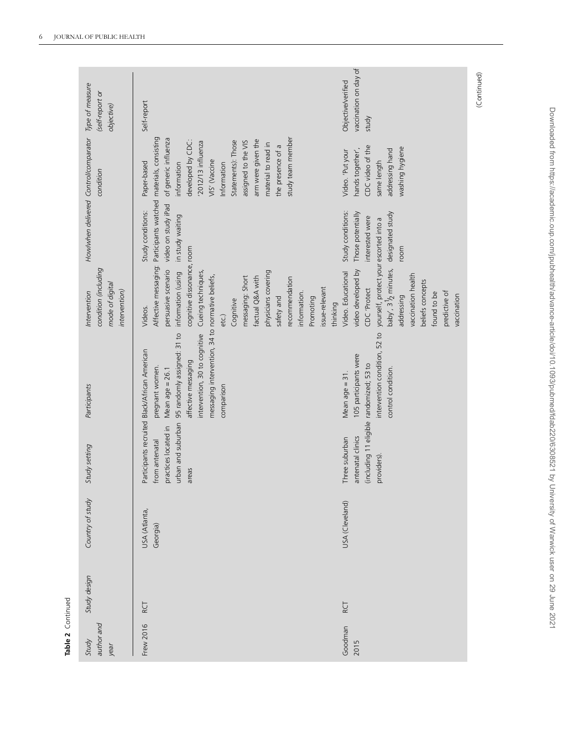| Table 2 Continued           |              |                           |                                                                                              |                                                                                                                                                                                                                                                |                                                                                                                                                                                                                                                                                                      |                                                                                                            |                                                                                                                                                                                                                                                                  |                                                      |
|-----------------------------|--------------|---------------------------|----------------------------------------------------------------------------------------------|------------------------------------------------------------------------------------------------------------------------------------------------------------------------------------------------------------------------------------------------|------------------------------------------------------------------------------------------------------------------------------------------------------------------------------------------------------------------------------------------------------------------------------------------------------|------------------------------------------------------------------------------------------------------------|------------------------------------------------------------------------------------------------------------------------------------------------------------------------------------------------------------------------------------------------------------------|------------------------------------------------------|
| author and<br>Study<br>year | Study design | Country of study          | Study setting                                                                                | Participants                                                                                                                                                                                                                                   | condition (including<br>mode of digital<br>intervention)<br>Intervention                                                                                                                                                                                                                             | Howlwhen delivered Control/comparator                                                                      | condition                                                                                                                                                                                                                                                        | Type of measure<br>(self-report or<br>objective)     |
| Frew 2016                   | RCT          | USA (Atlanta,<br>Georgia) | urban and suburban<br>oractices located in<br>irom antenatal<br>areas                        | messaging intervention, 34 to normative beliefs,<br>95 randomly assigned: 31 to<br>intervention, 30 to cognitive<br>Participants recruited Black/African American<br>affective messaging<br>pregnant women.<br>Mean age $= 26.1$<br>comparison | cognitive dissonance, room<br>Affective messaging:<br>persuasive scenario<br>physicians covering<br>information (using<br>Cueing techniques,<br>factual Q&A with<br>messaging: Short<br>recommendation<br>issue-relevant<br>information.<br>Promoting<br>safety and<br>Cognitive<br>Videos.<br>etc.) | Participants watched materials, consisting<br>video on study iPad<br>Study conditions:<br>in study waiting | of generic influenza<br>study team member<br>arm were given the<br>developed by CDC:<br>Statements): Those<br>assigned to the VIS<br>2012/13 influenza<br>material to read in<br>the presence of a<br>VIS' (Vaccine<br>Paper-based<br>Information<br>information | Self-report                                          |
| Goodman<br>2015             | RCT          | USA (Cleveland)           | including 11 eligible randomized; 53 to<br>antenatal clinics<br>Three suburban<br>providers) | intervention condition, 52 to<br>105 participants were<br>control condition.<br>Mean age $=$ 31.                                                                                                                                               | yourself, protect your escorted into a<br>baby', 3 <sup>1</sup> / <sub>2</sub> minutes,<br>video developed by<br>Video. Educational<br>vaccination health<br>beliefs concepts<br>CDC 'Protect<br>predictive of<br>found to be<br>vaccination<br>addressing<br>thinking                               | Study conditions:<br>designated study<br>Those potentially<br>interested were<br>room                      | CDC video of the<br>washing hygiene<br>hands together',<br>addressing hand<br>Video. 'Put your<br>same length                                                                                                                                                    | vaccination on day of<br>Objective/verified<br>study |

Table 2 Continued

(Continued) (Continued)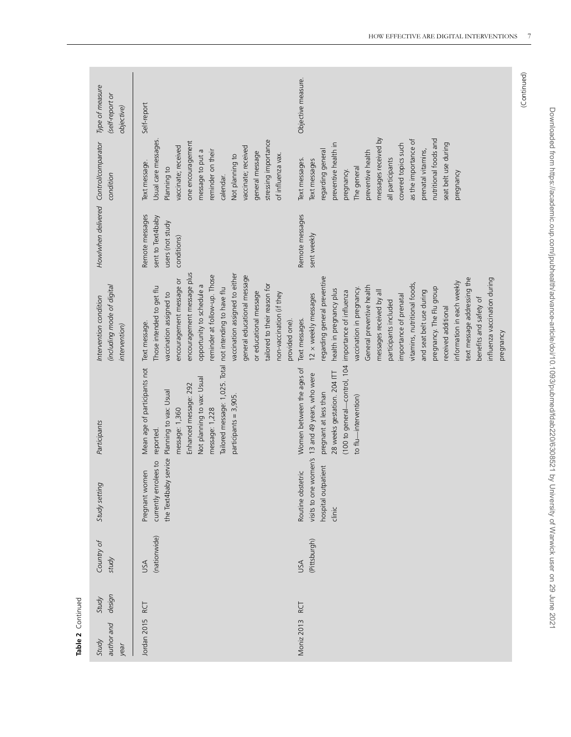| Type of measure<br>(self-report or<br>objective)                      | Objective measure.<br>Self-report                                                                                                                                                                                                                                                                                                                                                                                                                                                                                                                                                                                                                                                                                                                                                                                                                     |                                           |
|-----------------------------------------------------------------------|-------------------------------------------------------------------------------------------------------------------------------------------------------------------------------------------------------------------------------------------------------------------------------------------------------------------------------------------------------------------------------------------------------------------------------------------------------------------------------------------------------------------------------------------------------------------------------------------------------------------------------------------------------------------------------------------------------------------------------------------------------------------------------------------------------------------------------------------------------|-------------------------------------------|
| condition                                                             | messages received by<br>nutritional foods and<br>as the importance of<br>stressing importance<br>Usual care messages<br>one encouragement<br>seat belt use during<br>preventive health in<br>covered topics such<br>vaccinate; received<br>vaccinate; received<br>prenatal vitamins,<br>regarding general<br>reminder on their<br>message to put a<br>preventive health<br>general message<br>of influenza vax.<br>Not planning to<br>all participants<br>Text messages.<br>Text messages<br>Text message.<br>The general<br>Planning to<br>pregnancy.<br>pregnancy<br>calendar.                                                                                                                                                                                                                                                                      |                                           |
| Howlwhen delivered Control/comparator                                 | Remote messages<br>Remote messages<br>sent to Text4baby<br>users (not study<br>sent weekly<br>conditions)                                                                                                                                                                                                                                                                                                                                                                                                                                                                                                                                                                                                                                                                                                                                             |                                           |
| (including mode of digital<br>Intervention condition<br>intervention) | encouragement message plus<br>vaccination assigned to either<br>reminder at follow-up. Those<br>general educational message<br>regarding general preventive<br>text message addressing the<br>encouragement message or<br>information in each weekly<br>vitamins, nutritional foods,<br>tailored to their reason for<br>opportunity to schedule a<br>General preventive health<br>Those intended to get flu<br>pregnancy. The Flu group<br>vaccination in pregnancy.<br>health in pregnancy plus<br>and seat belt use during<br>messages received by all<br>importance of influenza<br>or educational message<br>vaccination assigned to<br>non-vaccination (if they<br>12 x weekly messages<br>importance of prenatal<br>benefits and safety of<br>participants included<br>received additional<br>Text messages.<br>provided one).<br>Text message. | influenza vaccination during<br>pregnancy |
| Participants                                                          | Tailored message: 1,025. Total not intending to have flu<br>(100 to general-control, 104<br>Mean age of participants not<br>Women between the ages of<br>28 weeks gestation. 204 ITT<br>13 and 49 years, who were<br>Not planning to vax: Usual<br>Enhanced message: 292<br>the Text4baby service Planning to vax: Usual<br>pregnant at less than<br>participants = 3,905.<br>to flu-intervention)<br>message: 1,360<br>message: 1,228<br>reported.                                                                                                                                                                                                                                                                                                                                                                                                   |                                           |
| Study setting                                                         | visits to one women's<br>currently enrolees to<br>nospital outpatient<br>Pregnant women<br>Routine obstetric<br>clinic                                                                                                                                                                                                                                                                                                                                                                                                                                                                                                                                                                                                                                                                                                                                |                                           |
| Country of<br>study                                                   | (nationwide)<br>(Pittsburgh)<br>JSA<br>USA                                                                                                                                                                                                                                                                                                                                                                                                                                                                                                                                                                                                                                                                                                                                                                                                            |                                           |
| design<br>Study                                                       | RCT<br>RCT                                                                                                                                                                                                                                                                                                                                                                                                                                                                                                                                                                                                                                                                                                                                                                                                                                            |                                           |
| author and<br>Study<br>year                                           | Jordan 2015<br>Moniz 2013                                                                                                                                                                                                                                                                                                                                                                                                                                                                                                                                                                                                                                                                                                                                                                                                                             |                                           |

**Table 2** Continued

Table 2 Continued

(Continued) (Continued)

Downloaded from https://academic.oup.com/jpubhealth/advance-article/doi/10.1093/pubmed/fdab220/6308521 by University of Warwick user on 29 June 2021

Downloaded from https://academic.oup.com/jpubhealth/advance-article/doi/10.1093/pubmed/fdab220/6308521 by University of Warwick user on 29 June 2021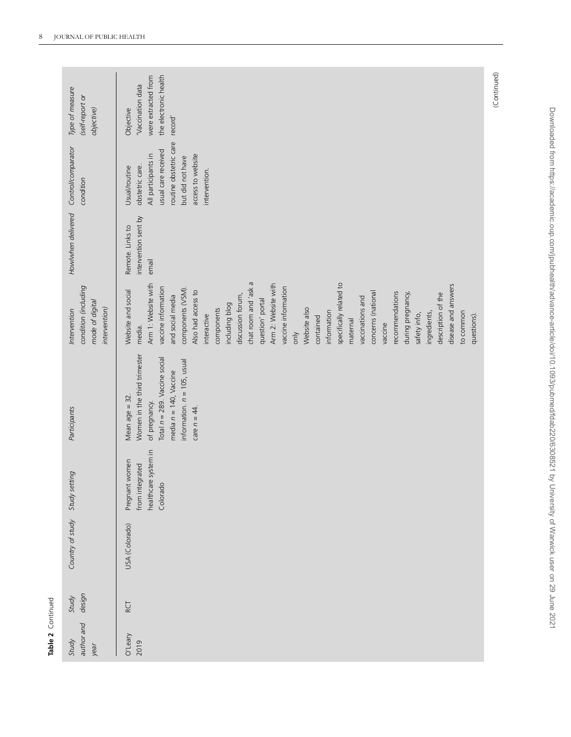| Table 2 Continued<br>Study | Study  | Country of study | Study setting                                                         | Participants                                                                                                                                                                       | Intervention                                                                                                                                                                                                                                                                                                                                 | Howlwhen delivered                                | Control/comparator                                                                                                                                                 | Type of measure                                                                           |
|----------------------------|--------|------------------|-----------------------------------------------------------------------|------------------------------------------------------------------------------------------------------------------------------------------------------------------------------------|----------------------------------------------------------------------------------------------------------------------------------------------------------------------------------------------------------------------------------------------------------------------------------------------------------------------------------------------|---------------------------------------------------|--------------------------------------------------------------------------------------------------------------------------------------------------------------------|-------------------------------------------------------------------------------------------|
| author and<br>year         | design |                  |                                                                       |                                                                                                                                                                                    | condition (including<br>mode of digital<br>intervention)                                                                                                                                                                                                                                                                                     |                                                   | condition                                                                                                                                                          | (self-report or<br>objective)                                                             |
| O'Leary<br>2019            | RCT    | USA (Colorado)   | healthcare system in<br>Pregnant women<br>from integrated<br>Colorado | Women in the third trimester<br>Total n = 289. Vaccine social<br>information. $n = 105$ , usual<br>media $n = 140$ , Vaccine<br>Mean age = 32.<br>of pregnancy.<br>care $n = 44$ . | chat room and 'ask a<br>Arm 1: Website with<br>Arm 2: Website with<br>vaccine information<br>vaccine information<br>components (VSM).<br>Website and social<br>Also had access to<br>discussion forum,<br>and social media<br>question' portal<br>including blog<br>Website also<br>components<br>interactive<br>contained<br>media.<br>only | intervention sent by<br>Remote. Links to<br>email | routine obstetric care<br>usual care received<br>All participants in<br>access to website<br>but did not have<br>obstetric care.<br>Usual/routine<br>intervention. | the electronic health<br>were extracted from<br>'Vaccination data<br>Objective<br>record' |
|                            |        |                  |                                                                       |                                                                                                                                                                                    | specifically related to<br>disease and answers<br>recommendations<br>concerns (national<br>description of the<br>during pregnancy,<br>vaccinations and<br>information<br>ingredients,<br>to common<br>safety info,<br>questions).<br>maternal<br>vaccine                                                                                     |                                                   |                                                                                                                                                                    |                                                                                           |

Table 2 Continued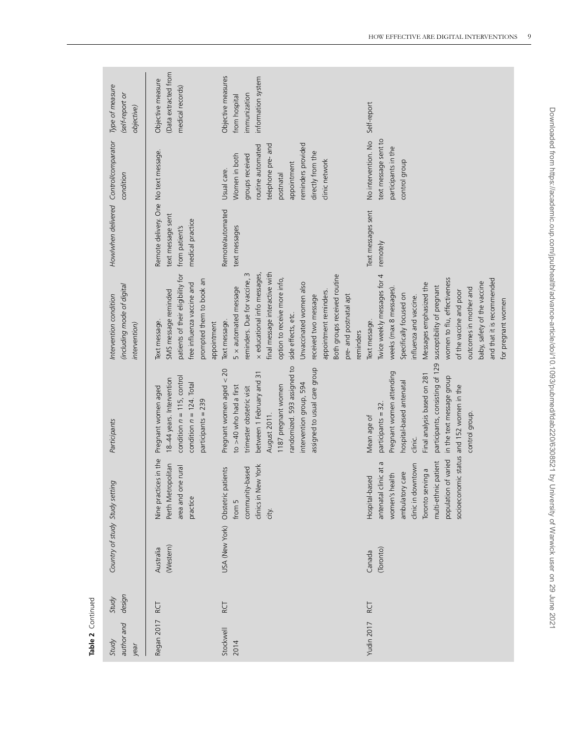| author and<br>Study<br>year | design<br>Study | Country of study Study setting |                                                                                                                                                                            | Participants                                                                                                                                                                                                                                                      | (including mode of digital<br>Intervention condition<br>intervention)                                                                                                                                                                                                                                                                                                                              | Howlwhen delivered Control/comparator                                                            | condition                                                                                                                                                                          | Type of measure<br>(self-report or<br>objective)                          |
|-----------------------------|-----------------|--------------------------------|----------------------------------------------------------------------------------------------------------------------------------------------------------------------------|-------------------------------------------------------------------------------------------------------------------------------------------------------------------------------------------------------------------------------------------------------------------|----------------------------------------------------------------------------------------------------------------------------------------------------------------------------------------------------------------------------------------------------------------------------------------------------------------------------------------------------------------------------------------------------|--------------------------------------------------------------------------------------------------|------------------------------------------------------------------------------------------------------------------------------------------------------------------------------------|---------------------------------------------------------------------------|
| Regan 2017                  | RCT             | (Western)<br>Australia         | Nine practices in the<br>Perth Metropolitan<br>area and one rural<br>practice                                                                                              | condition $n = 115$ , control<br>18-44 years. Intervention<br>condition $n = 124$ . Total<br>Pregnant women aged<br>participants = 239                                                                                                                            | patients of their eligibility for<br>prompted them to book an<br>free influenza vaccine and<br>SMS message reminded<br>Text message.<br>appointment                                                                                                                                                                                                                                                | Remote delivery. One No text message.<br>text message sent<br>medical practice<br>from patient's |                                                                                                                                                                                    | (Data extracted from<br>Objective measure<br>medical records)             |
| Stockwell<br>2014           | RCT             |                                | clinics in New York<br>community-based<br>USA (New York) Obstetric patients<br>from 5<br>city.                                                                             | randomized. 593 assigned to<br>assigned to usual care group<br>Pregnant women aged < 20<br>between 1 February and 31<br>intervention group, 594<br>1187 pregnant women<br>to >40 who had a first<br>trimester obstetric visit<br>August 2011.                     | final message interactive with<br>$\sim$<br>x educational info messages,<br>Both groups received routine<br>reminders. Due for vaccine,<br>option to receive more info,<br>Unvaccinated women also<br>$5 \times$ automated message<br>appointment reminders.<br>received two message<br>side effects, etc.<br>Text message.                                                                        | Remote/automated<br>text messages                                                                | reminders provided<br>telephone pre-and<br>routine automated<br>directly from the<br>Women in both<br>groups received<br>clinic network<br>appointment<br>Usual care.<br>postnatal | Objective measures<br>information system<br>immunization<br>from hospital |
| Yudin 2017                  | RCT             | (Toronto)<br>Canada            | population of varied<br>multi-ethnic patient<br>antenatal clinic at a<br>clinic in downtown<br>Toronto serving a<br>care<br>women's health<br>Hospital-based<br>ambulatory | participants, consisting of 129<br>Pregnant women attending<br>Final analysis based on 281<br>in the text message group<br>hospital-based antenatal<br>socioeconomic status and 152 women in the<br>participants = 32.<br>control group<br>Mean age of<br>clinic. | Twice weekly messages for 4<br>and that it is recommended<br>women to flu, effectiveness<br>baby, safety of the vaccine<br>Messages emphasized the<br>susceptibility of pregnant<br>outcomes in mother and<br>weeks (max 8 messages)<br>of the vaccine and poor<br>Specifically focused on<br>pre- and postnatal apt<br>influenza and vaccine.<br>for pregnant women<br>Text message.<br>reminders | Text messages sent<br>remotely                                                                   | text message sent to<br>No intervention. No<br>participants in the<br>control group                                                                                                | Self-report                                                               |

Table 2 Continued **Table 2** Continued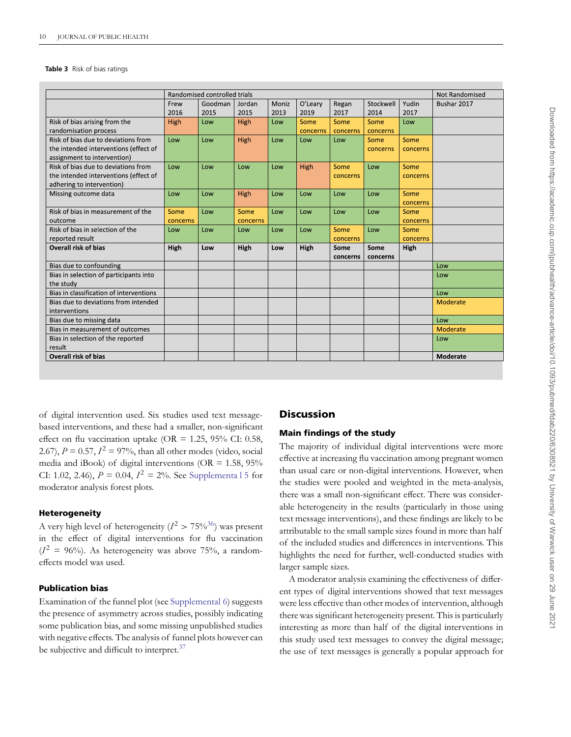#### <span id="page-9-0"></span>**Table 3** Risk of bias ratings

|                                         |          | Randomised controlled trials |          |       |          |          |           |          | <b>Not Randomised</b> |
|-----------------------------------------|----------|------------------------------|----------|-------|----------|----------|-----------|----------|-----------------------|
|                                         | Frew     | Goodman                      | Jordan   | Moniz | O'Leary  | Regan    | Stockwell | Yudin    | Bushar 2017           |
|                                         | 2016     | 2015                         | 2015     | 2013  | 2019     | 2017     | 2014      | 2017     |                       |
| Risk of bias arising from the           | High     | Low                          | High     | Low   | Some     | Some     | Some      | Low      |                       |
| randomisation process                   |          |                              |          |       | concerns | concerns | concerns  |          |                       |
| Risk of bias due to deviations from     | Low      | Low                          | High     | Low   | Low      | Low      | Some      | Some     |                       |
| the intended interventions (effect of   |          |                              |          |       |          |          | concerns  | concerns |                       |
| assignment to intervention)             |          |                              |          |       |          |          |           |          |                       |
| Risk of bias due to deviations from     | low      | Low                          | Low      | Low   | High     | Some     | Low       | Some     |                       |
| the intended interventions (effect of   |          |                              |          |       |          | concerns |           | concerns |                       |
| adhering to intervention)               |          |                              |          |       |          |          |           |          |                       |
| Missing outcome data                    | Low      | Low                          | High     | Low   | Low      | Low      | Low       | Some     |                       |
|                                         |          |                              |          |       |          |          |           | concerns |                       |
| Risk of bias in measurement of the      | Some     | Low                          | Some     | Low   | Low      | Low      | Low       | Some     |                       |
| outcome                                 | concerns |                              | concerns |       |          |          |           | concerns |                       |
| Risk of bias in selection of the        | Low      | Low                          | Low      | Low   | Low      | Some     | Low       | Some     |                       |
| reported result                         |          |                              |          |       |          | concerns |           | concerns |                       |
| <b>Overall risk of bias</b>             | High     | Low                          | High     | Low   | High     | Some     | Some      | High     |                       |
|                                         |          |                              |          |       |          | concerns | concerns  |          |                       |
| Bias due to confounding                 |          |                              |          |       |          |          |           |          | Low                   |
| Bias in selection of participants into  |          |                              |          |       |          |          |           |          | Low                   |
| the study                               |          |                              |          |       |          |          |           |          |                       |
| Bias in classification of interventions |          |                              |          |       |          |          |           |          | Low                   |
| Bias due to deviations from intended    |          |                              |          |       |          |          |           |          | Moderate              |
| interventions                           |          |                              |          |       |          |          |           |          |                       |
| Bias due to missing data                |          |                              |          |       |          |          |           |          | Low                   |
| Bias in measurement of outcomes         |          |                              |          |       |          |          |           |          | Moderate              |
| Bias in selection of the reported       |          |                              |          |       |          |          |           |          | Low                   |
| result                                  |          |                              |          |       |          |          |           |          |                       |
| <b>Overall risk of bias</b>             |          |                              |          |       |          |          |           |          | Moderate              |
|                                         |          |                              |          |       |          |          |           |          |                       |

of digital intervention used. Six studies used text messagebased interventions, and these had a smaller, non-significant effect on flu vaccination uptake (OR =  $1.25$ ,  $95\%$  CI: 0.58, 2.67),  $P = 0.57$ ,  $I^2 = 97\%$ , than all other modes (video, social media and iBook) of digital interventions (OR =  $1.58$ ,  $95\%$ CI: 1.02, 2.46),  $P = 0.04$ ,  $I^2 = 2\%$ . See Supplementa 1.5 for moderator analysis forest plots.

#### **Heterogeneity**

A very high level of heterogeneity  $(I^2 > 75\%^{36})$  was present in the effect of digital interventions for flu vaccination  $(I^2 = 96\%)$ . As heterogeneity was above 75%, a randomeffects model was used.

## **Publication bias**

Examination of the funnel plot (see [Supplemental 6\)](https://academic.oup.com/jpubhealth/article-lookup/doi/10.1093/pubmed/fdab220#supplementary-data) suggests the presence of asymmetry across studies, possibly indicating some publication bias, and some missing unpublished studies with negative effects. The analysis of funnel plots however can be subjective and difficult to interpret.<sup>37</sup>

### **Discussion**

#### **Main findings of the study**

The majority of individual digital interventions were more effective at increasing flu vaccination among pregnant women than usual care or non-digital interventions. However, when the studies were pooled and weighted in the meta-analysis, there was a small non-significant effect. There was considerable heterogeneity in the results (particularly in those using text message interventions), and these findings are likely to be attributable to the small sample sizes found in more than half of the included studies and differences in interventions. This highlights the need for further, well-conducted studies with larger sample sizes.

A moderator analysis examining the effectiveness of different types of digital interventions showed that text messages were less effective than other modes of intervention, although there was significant heterogeneity present. This is particularly interesting as more than half of the digital interventions in this study used text messages to convey the digital message; the use of text messages is generally a popular approach for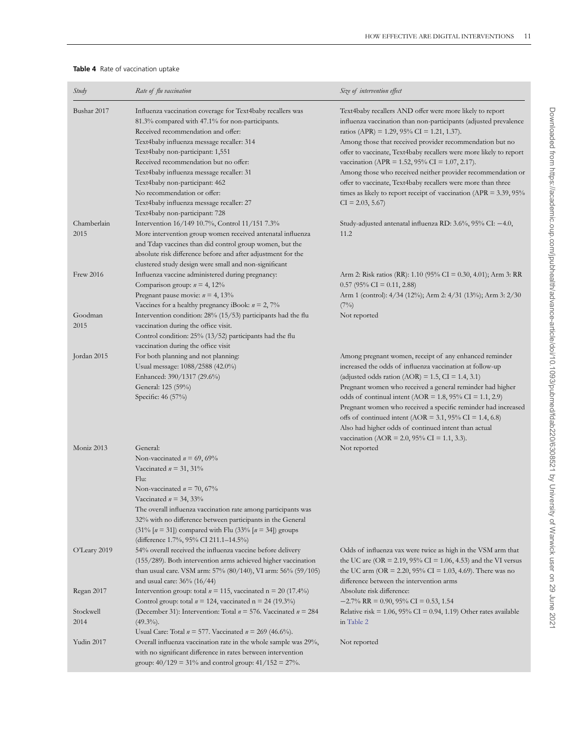#### <span id="page-10-0"></span>**Table 4** Rate of vaccination uptake

| Study        | Rate of flu vaccination                                                                                                                             | Size of intervention effect                                                                                                                                                |
|--------------|-----------------------------------------------------------------------------------------------------------------------------------------------------|----------------------------------------------------------------------------------------------------------------------------------------------------------------------------|
| Bushar 2017  | Influenza vaccination coverage for Text4baby recallers was<br>81.3% compared with 47.1% for non-participants.<br>Received recommendation and offer: | Text4baby recallers AND offer were more likely to report<br>influenza vaccination than non-participants (adjusted prevalence<br>ratios (APR) = 1.29, 95% CI = 1.21, 1.37). |
|              | Text4baby influenza message recaller: 314<br>Text4baby non-participant: 1,551                                                                       | Among those that received provider recommendation but no<br>offer to vaccinate, Text4baby recallers were more likely to report                                             |
|              | Received recommendation but no offer:                                                                                                               | vaccination (APR = 1.52, 95% CI = 1.07, 2.17).                                                                                                                             |
|              | Text4baby influenza message recaller: 31                                                                                                            | Among those who received neither provider recommendation or                                                                                                                |
|              | Text4baby non-participant: 462                                                                                                                      | offer to vaccinate, Text4baby recallers were more than three                                                                                                               |
|              | No recommendation or offer:<br>Text4baby influenza message recaller: 27                                                                             | times as likely to report receipt of vaccination ( $APR = 3.39, 95\%$<br>$CI = 2.03, 5.67$                                                                                 |
|              | Text4baby non-participant: 728                                                                                                                      |                                                                                                                                                                            |
| Chamberlain  | Intervention 16/149 10.7%, Control 11/151 7.3%                                                                                                      | Study-adjusted antenatal influenza RD: $3.6\%$ , $95\%$ CI: $-4.0$ ,                                                                                                       |
| 2015         | More intervention group women received antenatal influenza                                                                                          | 11.2                                                                                                                                                                       |
|              | and Tdap vaccines than did control group women, but the<br>absolute risk difference before and after adjustment for the                             |                                                                                                                                                                            |
|              | clustered study design were small and non-significant                                                                                               |                                                                                                                                                                            |
| Frew 2016    | Influenza vaccine administered during pregnancy:                                                                                                    | Arm 2: Risk ratios (RR): 1.10 (95% CI = 0.30, 4.01); Arm 3: RR                                                                                                             |
|              | Comparison group: $n = 4, 12\%$                                                                                                                     | $0.57$ (95% CI = 0.11, 2.88)                                                                                                                                               |
|              | Pregnant pause movie: $n = 4, 13\%$                                                                                                                 | Arm 1 (control): 4/34 (12%); Arm 2: 4/31 (13%); Arm 3: 2/30                                                                                                                |
| Goodman      | Vaccines for a healthy pregnancy iBook: $n = 2, 7\%$<br>Intervention condition: 28% (15/53) participants had the flu                                | (7%)<br>Not reported                                                                                                                                                       |
| 2015         | vaccination during the office visit.                                                                                                                |                                                                                                                                                                            |
|              | Control condition: 25% (13/52) participants had the flu                                                                                             |                                                                                                                                                                            |
|              | vaccination during the office visit                                                                                                                 |                                                                                                                                                                            |
| Jordan 2015  | For both planning and not planning:                                                                                                                 | Among pregnant women, receipt of any enhanced reminder                                                                                                                     |
|              | Usual message: 1088/2588 (42.0%)                                                                                                                    | increased the odds of influenza vaccination at follow-up                                                                                                                   |
|              | Enhanced: 390/1317 (29.6%)                                                                                                                          | (adjusted odds ration (AOR) = $1.5$ , CI = $1.4$ , 3.1)                                                                                                                    |
|              | General: 125 (59%)<br>Specific: 46 (57%)                                                                                                            | Pregnant women who received a general reminder had higher<br>odds of continual intent (AOR = 1.8, 95% CI = 1.1, 2.9)                                                       |
|              |                                                                                                                                                     | Pregnant women who received a specific reminder had increased                                                                                                              |
|              |                                                                                                                                                     | offs of continued intent (AOR = 3.1, 95% CI = 1.4, 6.8)                                                                                                                    |
|              |                                                                                                                                                     | Also had higher odds of continued intent than actual                                                                                                                       |
|              |                                                                                                                                                     | vaccination (AOR = 2.0, 95% CI = 1.1, 3.3).                                                                                                                                |
| Moniz 2013   | General:                                                                                                                                            | Not reported                                                                                                                                                               |
|              | Non-vaccinated $n = 69,69\%$                                                                                                                        |                                                                                                                                                                            |
|              | Vaccinated $n = 31, 31\%$                                                                                                                           |                                                                                                                                                                            |
|              | Flu:<br>Non-vaccinated $n = 70,67%$                                                                                                                 |                                                                                                                                                                            |
|              | Vaccinated $n = 34, 33\%$                                                                                                                           |                                                                                                                                                                            |
|              | The overall influenza vaccination rate among participants was                                                                                       |                                                                                                                                                                            |
|              | 32% with no difference between participants in the General                                                                                          |                                                                                                                                                                            |
|              | $(31\%$ [n = 31]) compared with Flu (33% [n = 34]) groups                                                                                           |                                                                                                                                                                            |
|              | (difference 1.7%, 95% CI 211.1–14.5%)                                                                                                               |                                                                                                                                                                            |
| O'Leary 2019 | 54% overall received the influenza vaccine before delivery                                                                                          | Odds of influenza vax were twice as high in the VSM arm that                                                                                                               |
|              | $(155/289)$ . Both intervention arms achieved higher vaccination                                                                                    | the UC are (OR = 2.19, 95% CI = 1.06, 4.53) and the VI versus                                                                                                              |
|              | than usual care. VSM arm: 57% (80/140), VI arm: 56% (59/105)<br>and usual care: 36% (16/44)                                                         | the UC arm (OR = 2.20, 95% CI = 1.03, 4.69). There was no<br>difference between the intervention arms                                                                      |
| Regan 2017   | Intervention group: total $n = 115$ , vaccinated $n = 20$ (17.4%)                                                                                   | Absolute risk difference:                                                                                                                                                  |
|              | Control group: total $n = 124$ , vaccinated $n = 24$ (19.3%)                                                                                        | $-2.7\%$ RR = 0.90, 95% CI = 0.53, 1.54                                                                                                                                    |
| Stockwell    | (December 31): Intervention: Total $n = 576$ . Vaccinated $n = 284$                                                                                 | Relative risk = $1.06$ , $95\%$ CI = 0.94, 1.19) Other rates available                                                                                                     |
| 2014         | $(49.3\%)$ .                                                                                                                                        | in Table 2                                                                                                                                                                 |
|              | Usual Care: Total $n = 577$ . Vaccinated $n = 269 (46.6\%)$ .                                                                                       |                                                                                                                                                                            |
| Yudin 2017   | Overall influenza vaccination rate in the whole sample was 29%,                                                                                     | Not reported                                                                                                                                                               |
|              | with no significant difference in rates between intervention                                                                                        |                                                                                                                                                                            |
|              | group: $40/129 = 31\%$ and control group: $41/152 = 27\%$ .                                                                                         |                                                                                                                                                                            |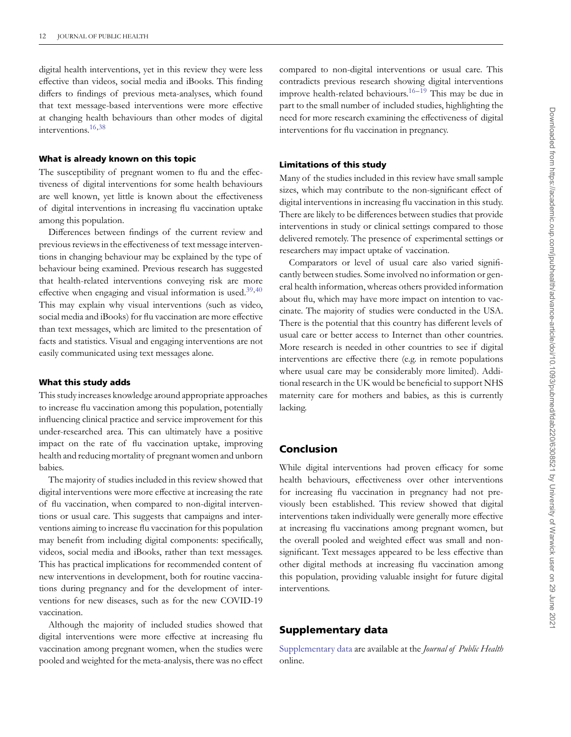digital health interventions, yet in this review they were less effective than videos, social media and iBooks. This finding differs to findings of previous meta-analyses, which found that text message-based interventions were more effective at changing health behaviours than other modes of digital interventions[.16,](#page-12-12)[38](#page-13-10)

#### **What is already known on this topic**

The susceptibility of pregnant women to flu and the effectiveness of digital interventions for some health behaviours are well known, yet little is known about the effectiveness of digital interventions in increasing flu vaccination uptake among this population.

Differences between findings of the current review and previous reviews in the effectiveness of text message interventions in changing behaviour may be explained by the type of behaviour being examined. Previous research has suggested that health-related interventions conveying risk are more effective when engaging and visual information is used. $39,40$  $39,40$ This may explain why visual interventions (such as video, social media and iBooks) for flu vaccination are more effective than text messages, which are limited to the presentation of facts and statistics. Visual and engaging interventions are not easily communicated using text messages alone.

#### **What this study adds**

This study increases knowledge around appropriate approaches to increase flu vaccination among this population, potentially influencing clinical practice and service improvement for this under-researched area. This can ultimately have a positive impact on the rate of flu vaccination uptake, improving health and reducing mortality of pregnant women and unborn babies.

The majority of studies included in this review showed that digital interventions were more effective at increasing the rate of flu vaccination, when compared to non-digital interventions or usual care. This suggests that campaigns and interventions aiming to increase flu vaccination for this population may benefit from including digital components: specifically, videos, social media and iBooks, rather than text messages. This has practical implications for recommended content of new interventions in development, both for routine vaccinations during pregnancy and for the development of interventions for new diseases, such as for the new COVID-19 vaccination.

Although the majority of included studies showed that digital interventions were more effective at increasing flu vaccination among pregnant women, when the studies were pooled and weighted for the meta-analysis, there was no effect

compared to non-digital interventions or usual care. This contradicts previous research showing digital interventions improve health-related behaviours.<sup>[16–](#page-12-12)[19](#page-12-15)</sup> This may be due in part to the small number of included studies, highlighting the need for more research examining the effectiveness of digital interventions for flu vaccination in pregnancy.

#### **Limitations of this study**

Many of the studies included in this review have small sample sizes, which may contribute to the non-significant effect of digital interventions in increasing flu vaccination in this study. There are likely to be differences between studies that provide interventions in study or clinical settings compared to those delivered remotely. The presence of experimental settings or researchers may impact uptake of vaccination.

Comparators or level of usual care also varied significantly between studies. Some involved no information or general health information, whereas others provided information about flu, which may have more impact on intention to vaccinate. The majority of studies were conducted in the USA. There is the potential that this country has different levels of usual care or better access to Internet than other countries. More research is needed in other countries to see if digital interventions are effective there (e.g. in remote populations where usual care may be considerably more limited). Additional research in the UK would be beneficial to support NHS maternity care for mothers and babies, as this is currently lacking.

#### **Conclusion**

While digital interventions had proven efficacy for some health behaviours, effectiveness over other interventions for increasing flu vaccination in pregnancy had not previously been established. This review showed that digital interventions taken individually were generally more effective at increasing flu vaccinations among pregnant women, but the overall pooled and weighted effect was small and nonsignificant. Text messages appeared to be less effective than other digital methods at increasing flu vaccination among this population, providing valuable insight for future digital interventions.

### **Supplementary data**

[Supplementary data](https://academic.oup.com/jpubhealth/article-lookup/doi/10.1093/pubmed/fdab220#supplementary-data) are available at the *Journal of Public Health* online.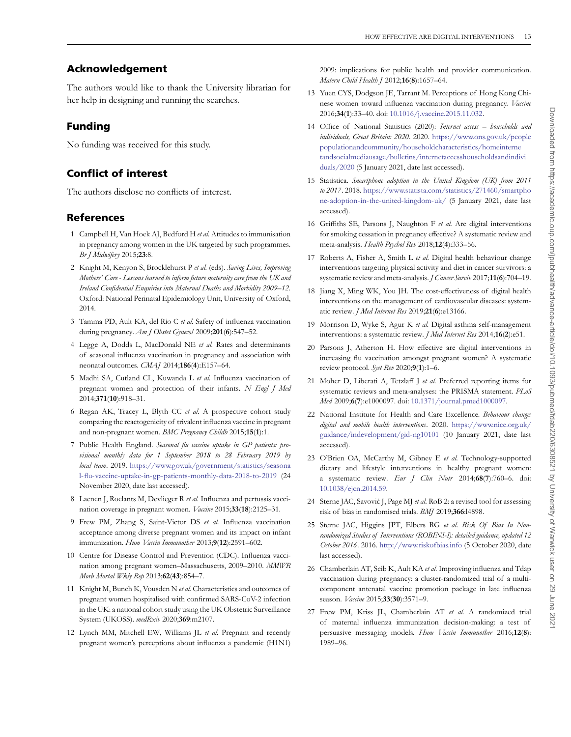# **Acknowledgement**

The authors would like to thank the University librarian for her help in designing and running the searches.

# **Funding**

No funding was received for this study.

# **Conflict of interest**

The authors disclose no conflicts of interest.

# **References**

- <span id="page-12-0"></span>1 Campbell H, Van Hoek AJ, Bedford H *et al.* Attitudes to immunisation in pregnancy among women in the UK targeted by such programmes. *Br J Midwifery* 2015;**23**:8.
- 2 Knight M, Kenyon S, Brocklehurst P *et al.* (eds). *Saving Lives, Improving Mothers' Care - Lessons learned to inform future maternity care from the UK and Ireland Confidential Enquiries into Maternal Deaths and Morbidity 2009–12*. Oxford: National Perinatal Epidemiology Unit, University of Oxford, 2014.
- <span id="page-12-1"></span>3 Tamma PD, Ault KA, del Rio C *et al.* Safety of influenza vaccination during pregnancy. *Am J Obstet Gynecol* 2009;**201**(**6**):547–52.
- <span id="page-12-2"></span>4 Legge A, Dodds L, MacDonald NE *et al.* Rates and determinants of seasonal influenza vaccination in pregnancy and association with neonatal outcomes. *CMAJ* 2014;**186**(**4**):E157–64.
- 5 Madhi SA, Cutland CL, Kuwanda L *et al.* Influenza vaccination of pregnant women and protection of their infants. *N Engl J Med* 2014;**371**(**10**):918–31.
- <span id="page-12-3"></span>6 Regan AK, Tracey L, Blyth CC *et al.* A prospective cohort study comparing the reactogenicity of trivalent influenza vaccine in pregnant and non-pregnant women. *BMC Pregnancy Childb* 2015;**15**(**1**):1.
- <span id="page-12-4"></span>7 Public Health England. *Seasonal flu vaccine uptake in GP patients: provisional monthly data for 1 September 2018 to 28 February 2019 by local team*. 2019. [https://www.gov.uk/government/statistics/seasona](https://www.gov.uk/government/statistics/seasonal-flu-vaccine-uptake-in-gp-patients-monthly-data-2018-to-2019) [l-flu-vaccine-uptake-in-gp-patients-monthly-data-2018-to-2019](https://www.gov.uk/government/statistics/seasonal-flu-vaccine-uptake-in-gp-patients-monthly-data-2018-to-2019) (24 November 2020, date last accessed).
- <span id="page-12-5"></span>8 Laenen J, Roelants M, Devlieger R *et al.* Influenza and pertussis vaccination coverage in pregnant women. *Vaccine* 2015;**33**(**18**):2125–31.
- 9 Frew PM, Zhang S, Saint-Victor DS *et al.* Influenza vaccination acceptance among diverse pregnant women and its impact on infant immunization. *Hum Vaccin Immunother* 2013;**9**(**12**):2591–602.
- <span id="page-12-6"></span>10 Centre for Disease Control and Prevention (CDC). Influenza vaccination among pregnant women–Massachusetts, 2009–2010. *MMWR Morb Mortal Wkly Rep* 2013;**62**(**43**):854–7.
- <span id="page-12-7"></span>11 Knight M, Bunch K, Vousden N *et al.* Characteristics and outcomes of pregnant women hospitalised with confirmed SARS-CoV-2 infection in the UK: a national cohort study using the UK Obstetric Surveillance System (UKOSS). *medRxiv* 2020;**369**:m2107.
- <span id="page-12-8"></span>12 Lynch MM, Mitchell EW, Williams JL *et al.* Pregnant and recently pregnant women's perceptions about influenza a pandemic (H1N1)

2009: implications for public health and provider communication. *Matern Child Health J* 2012;**16**(**8**):1657–64.

- <span id="page-12-9"></span>13 Yuen CYS, Dodgson JE, Tarrant M. Perceptions of Hong Kong Chinese women toward influenza vaccination during pregnancy. *Vaccine* 2016;**34**(**1**):33–40. doi: [10.1016/j.vaccine.2015.11.032.](https://doi.org/10.1016/j.vaccine.2015.11.032)
- <span id="page-12-10"></span>14 Office of National Statistics (2020): *Internet access – households and individuals, Great Britain: 2020*. 2020. [https://www.ons.gov.uk/people](https://www.ons.gov.uk/peoplepopulationandcommunity/householdcharacteristics/homeinternetandsocialmediausage/bulletins/internetaccesshouseholdsandindividuals/2020) [populationandcommunity/householdcharacteristics/homeinterne](https://www.ons.gov.uk/peoplepopulationandcommunity/householdcharacteristics/homeinternetandsocialmediausage/bulletins/internetaccesshouseholdsandindividuals/2020) [tandsocialmediausage/bulletins/internetaccesshouseholdsandindivi](https://www.ons.gov.uk/peoplepopulationandcommunity/householdcharacteristics/homeinternetandsocialmediausage/bulletins/internetaccesshouseholdsandindividuals/2020) [duals/2020](https://www.ons.gov.uk/peoplepopulationandcommunity/householdcharacteristics/homeinternetandsocialmediausage/bulletins/internetaccesshouseholdsandindividuals/2020) (5 January 2021, date last accessed).
- <span id="page-12-11"></span>15 Statistica. *Smartphone adoption in the United Kingdom (UK) from 2011 to 2017*. 2018. [https://www.statista.com/statistics/271460/smartpho](https://www.statista.com/statistics/271460/smartphone-adoption-in-the-united-kingdom-uk/) [ne-adoption-in-the-united-kingdom-uk/](https://www.statista.com/statistics/271460/smartphone-adoption-in-the-united-kingdom-uk/) (5 January 2021, date last accessed).
- <span id="page-12-12"></span>16 Griffiths SE, Parsons J, Naughton F *et al.* Are digital interventions for smoking cessation in pregnancy effective? A systematic review and meta-analysis. *Health Psychol Rev* 2018;**12**(**4**):333–56.
- <span id="page-12-13"></span>17 Roberts A, Fisher A, Smith L *et al.* Digital health behaviour change interventions targeting physical activity and diet in cancer survivors: a systematic review and meta-analysis.*J Cancer Surviv* 2017;**11**(**6**):704–19.
- <span id="page-12-14"></span>18 Jiang X, Ming WK, You JH. The cost-effectiveness of digital health interventions on the management of cardiovascular diseases: systematic review. *J Med Internet Res* 2019;**21**(**6**):e13166.
- <span id="page-12-15"></span>19 Morrison D, Wyke S, Agur K *et al.* Digital asthma self-management interventions: a systematic review. *J Med Internet Res* 2014;**16**(**2**):e51.
- <span id="page-12-16"></span>20 Parsons J, Atherton H. How effective are digital interventions in increasing flu vaccination amongst pregnant women? A systematic review protocol. *Syst Rev* 2020;**9**(**1**):1–6.
- <span id="page-12-17"></span>21 Moher D, Liberati A, Tetzlaff J *et al.* Preferred reporting items for systematic reviews and meta-analyses: the PRISMA statement. *PLoS Med* 2009;**6**(**7**):e1000097. doi: [10.1371/journal.pmed1000097.](https://doi.org/10.1371/journal.pmed1000097)
- <span id="page-12-18"></span>22 National Institute for Health and Care Excellence. *Behaviour change: digital and mobile health interventions*. 2020. [https://www.nice.org.uk/](https://www.nice.org.uk/guidance/indevelopment/gid-ng10101) [guidance/indevelopment/gid-ng10101](https://www.nice.org.uk/guidance/indevelopment/gid-ng10101) (10 January 2021, date last accessed).
- <span id="page-12-19"></span>23 O'Brien OA, McCarthy M, Gibney E *et al.* Technology-supported dietary and lifestyle interventions in healthy pregnant women: a systematic review. *Eur J Clin Nutr* 2014;**68**(**7**):760–6. doi: [10.1038/ejcn.2014.59.](https://doi.org/10.1038/ejcn.2014.59)
- <span id="page-12-20"></span>24 Sterne JAC, Savović J, Page MJ et al. RoB 2: a revised tool for assessing risk of bias in randomised trials. *BMJ* 2019;**366**:l4898.
- <span id="page-12-21"></span>25 Sterne JAC, Higgins JPT, Elbers RG *et al. Risk Of Bias In Nonrandomized Studies of Interventions (ROBINS-I): detailed guidance, updated 12 October 2016*. 2016. <http://www.riskofbias.info> (5 October 2020, date last accessed).
- <span id="page-12-22"></span>26 Chamberlain AT, Seib K, Ault KA *et al.* Improving influenza and Tdap vaccination during pregnancy: a cluster-randomized trial of a multicomponent antenatal vaccine promotion package in late influenza season. *Vaccine* 2015;**33**(**30**):3571–9.
- <span id="page-12-23"></span>27 Frew PM, Kriss JL, Chamberlain AT *et al.* A randomized trial of maternal influenza immunization decision-making: a test of persuasive messaging models. *Hum Vaccin Immunother* 2016;**12**(**8**): 1989–96.